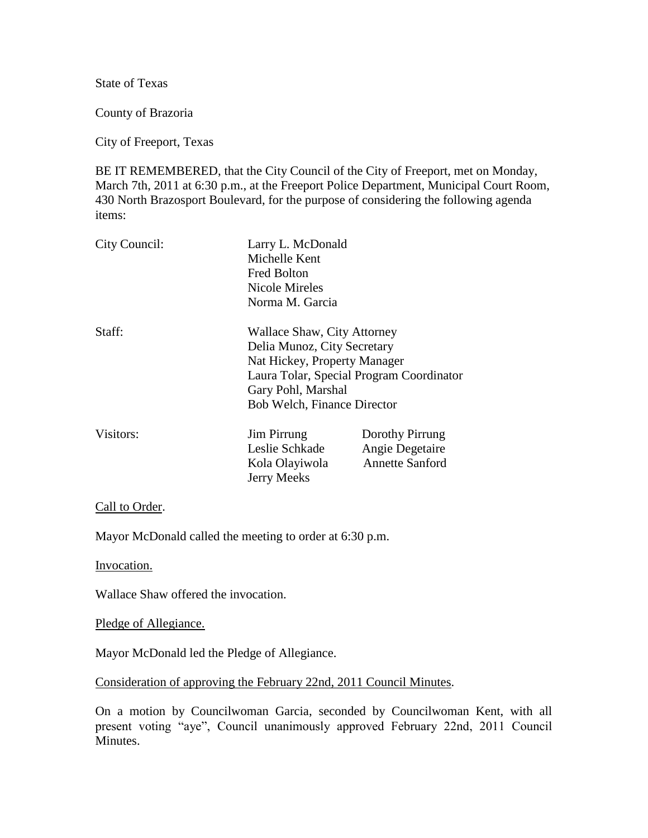State of Texas

County of Brazoria

City of Freeport, Texas

BE IT REMEMBERED, that the City Council of the City of Freeport, met on Monday, March 7th, 2011 at 6:30 p.m., at the Freeport Police Department, Municipal Court Room, 430 North Brazosport Boulevard, for the purpose of considering the following agenda items:

| City Council: | Larry L. McDonald<br>Michelle Kent<br><b>Fred Bolton</b><br>Nicole Mireles<br>Norma M. Garcia                                                                                                      |                                                              |
|---------------|----------------------------------------------------------------------------------------------------------------------------------------------------------------------------------------------------|--------------------------------------------------------------|
| Staff:        | Wallace Shaw, City Attorney<br>Delia Munoz, City Secretary<br>Nat Hickey, Property Manager<br>Laura Tolar, Special Program Coordinator<br>Gary Pohl, Marshal<br><b>Bob Welch, Finance Director</b> |                                                              |
| Visitors:     | <b>Jim Pirrung</b><br>Leslie Schkade<br>Kola Olayiwola<br>Jerry Meeks                                                                                                                              | Dorothy Pirrung<br>Angie Degetaire<br><b>Annette Sanford</b> |

## Call to Order.

Mayor McDonald called the meeting to order at 6:30 p.m.

Invocation.

Wallace Shaw offered the invocation.

Pledge of Allegiance.

Mayor McDonald led the Pledge of Allegiance.

Consideration of approving the February 22nd, 2011 Council Minutes.

On a motion by Councilwoman Garcia, seconded by Councilwoman Kent, with all present voting "aye", Council unanimously approved February 22nd, 2011 Council Minutes.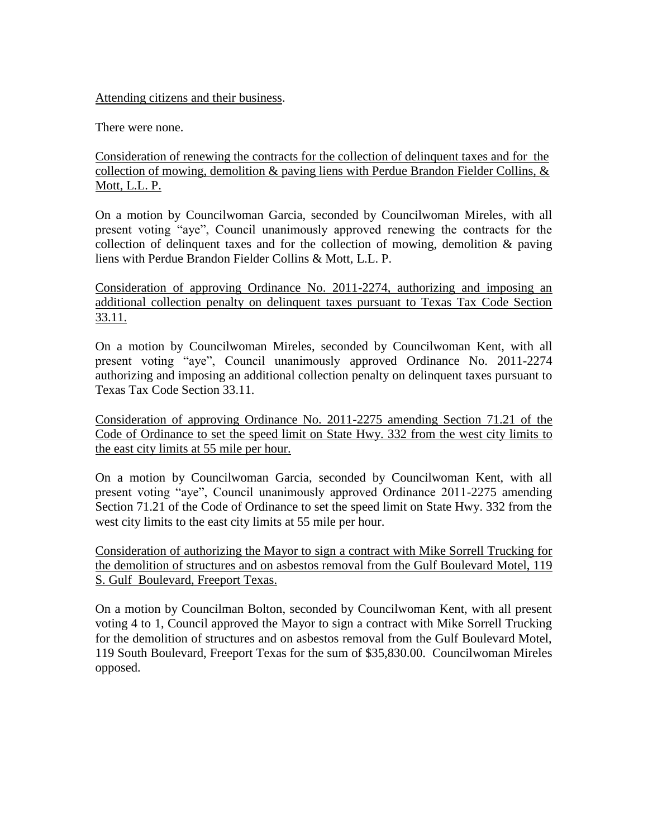## Attending citizens and their business.

There were none.

Consideration of renewing the contracts for the collection of delinquent taxes and for the collection of mowing, demolition  $\&$  paving liens with Perdue Brandon Fielder Collins,  $\&$ Mott, L.L. P.

On a motion by Councilwoman Garcia, seconded by Councilwoman Mireles, with all present voting "aye", Council unanimously approved renewing the contracts for the collection of delinquent taxes and for the collection of mowing, demolition & paving liens with Perdue Brandon Fielder Collins & Mott, L.L. P.

Consideration of approving Ordinance No. 2011-2274, authorizing and imposing an additional collection penalty on delinquent taxes pursuant to Texas Tax Code Section 33.11.

On a motion by Councilwoman Mireles, seconded by Councilwoman Kent, with all present voting "aye", Council unanimously approved Ordinance No. 2011-2274 authorizing and imposing an additional collection penalty on delinquent taxes pursuant to Texas Tax Code Section 33.11.

Consideration of approving Ordinance No. 2011-2275 amending Section 71.21 of the Code of Ordinance to set the speed limit on State Hwy. 332 from the west city limits to the east city limits at 55 mile per hour.

On a motion by Councilwoman Garcia, seconded by Councilwoman Kent, with all present voting "aye", Council unanimously approved Ordinance 2011-2275 amending Section 71.21 of the Code of Ordinance to set the speed limit on State Hwy. 332 from the west city limits to the east city limits at 55 mile per hour.

Consideration of authorizing the Mayor to sign a contract with Mike Sorrell Trucking for the demolition of structures and on asbestos removal from the Gulf Boulevard Motel, 119 S. Gulf Boulevard, Freeport Texas.

On a motion by Councilman Bolton, seconded by Councilwoman Kent, with all present voting 4 to 1, Council approved the Mayor to sign a contract with Mike Sorrell Trucking for the demolition of structures and on asbestos removal from the Gulf Boulevard Motel, 119 South Boulevard, Freeport Texas for the sum of \$35,830.00. Councilwoman Mireles opposed.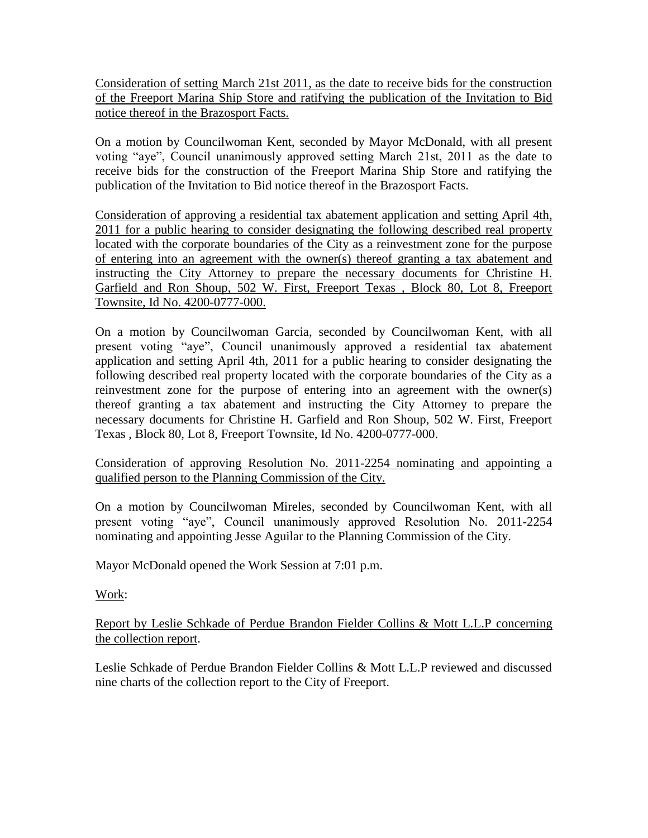Consideration of setting March 21st 2011, as the date to receive bids for the construction of the Freeport Marina Ship Store and ratifying the publication of the Invitation to Bid notice thereof in the Brazosport Facts.

On a motion by Councilwoman Kent, seconded by Mayor McDonald, with all present voting "aye", Council unanimously approved setting March 21st, 2011 as the date to receive bids for the construction of the Freeport Marina Ship Store and ratifying the publication of the Invitation to Bid notice thereof in the Brazosport Facts.

Consideration of approving a residential tax abatement application and setting April 4th, 2011 for a public hearing to consider designating the following described real property located with the corporate boundaries of the City as a reinvestment zone for the purpose of entering into an agreement with the owner(s) thereof granting a tax abatement and instructing the City Attorney to prepare the necessary documents for Christine H. Garfield and Ron Shoup, 502 W. First, Freeport Texas , Block 80, Lot 8, Freeport Townsite, Id No. 4200-0777-000.

On a motion by Councilwoman Garcia, seconded by Councilwoman Kent, with all present voting "aye", Council unanimously approved a residential tax abatement application and setting April 4th, 2011 for a public hearing to consider designating the following described real property located with the corporate boundaries of the City as a reinvestment zone for the purpose of entering into an agreement with the owner(s) thereof granting a tax abatement and instructing the City Attorney to prepare the necessary documents for Christine H. Garfield and Ron Shoup, 502 W. First, Freeport Texas , Block 80, Lot 8, Freeport Townsite, Id No. 4200-0777-000.

## Consideration of approving Resolution No. 2011-2254 nominating and appointing a qualified person to the Planning Commission of the City.

On a motion by Councilwoman Mireles, seconded by Councilwoman Kent, with all present voting "aye", Council unanimously approved Resolution No. 2011-2254 nominating and appointing Jesse Aguilar to the Planning Commission of the City.

Mayor McDonald opened the Work Session at 7:01 p.m.

Work:

Report by Leslie Schkade of Perdue Brandon Fielder Collins & Mott L.L.P concerning the collection report.

Leslie Schkade of Perdue Brandon Fielder Collins & Mott L.L.P reviewed and discussed nine charts of the collection report to the City of Freeport.